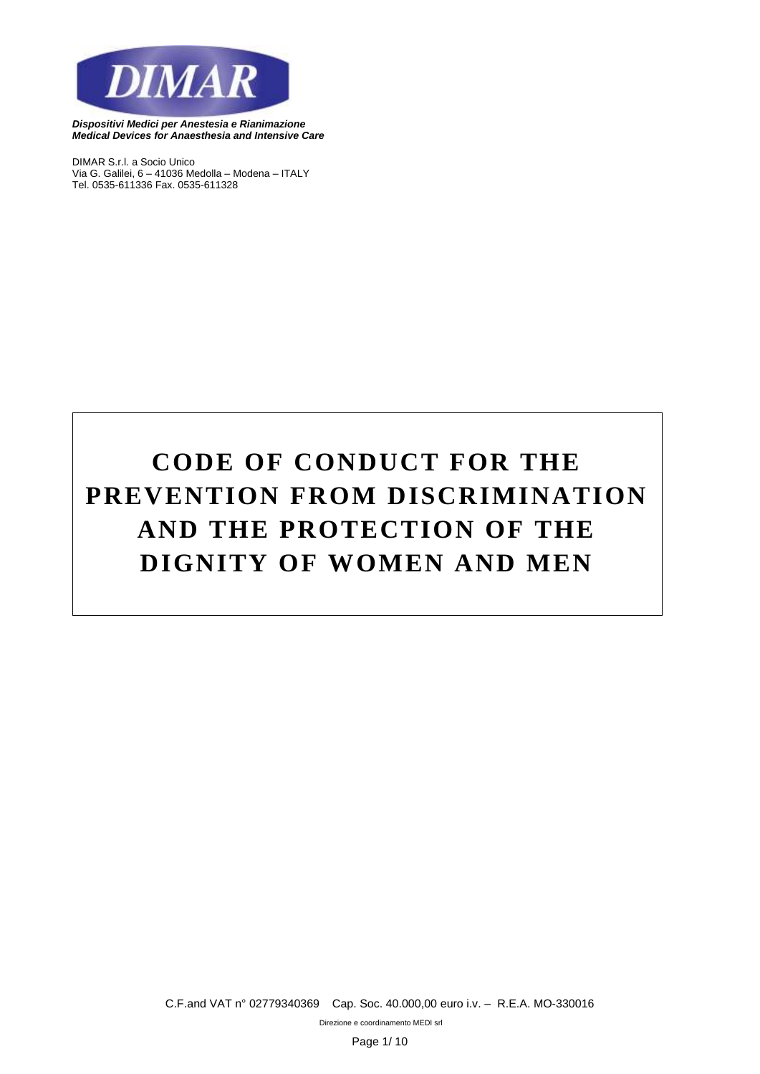

*DIMAR S.r.l. a Socio Unico Via G. Galilei, 6 – 41036 Medolla – Modena – ITALY Tel. 0535-611336 Fax. 0535-611328*

# **CODE OF CONDUCT FOR THE PREVENTION FROM DISCRIMINATION AND THE PROTECTION OF THE DIGNITY OF WOMEN AND MEN**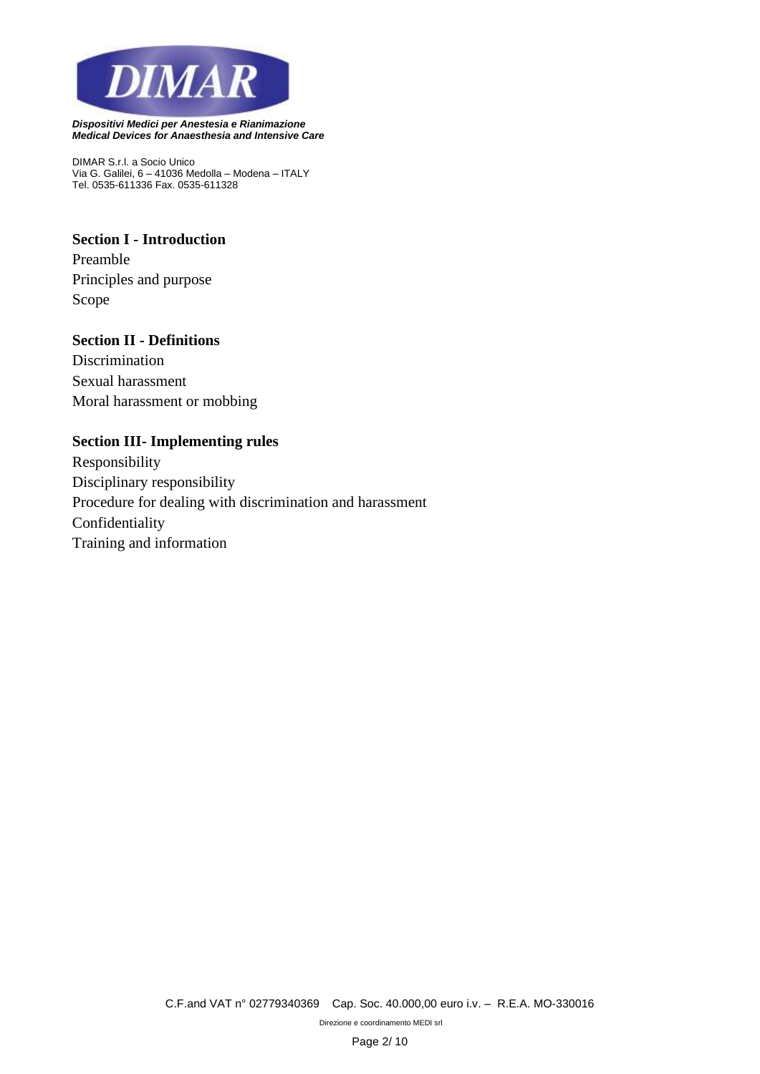

*DIMAR S.r.l. a Socio Unico Via G. Galilei, 6 – 41036 Medolla – Modena – ITALY Tel. 0535-611336 Fax. 0535-611328*

# **Section I - Introduction**

Preamble Principles and purpose Scope

## **Section II - Definitions**

Discrimination Sexual harassment Moral harassment or mobbing

## **Section III- Implementing rules**

Responsibility Disciplinary responsibility Procedure for dealing with discrimination and harassment Confidentiality Training and information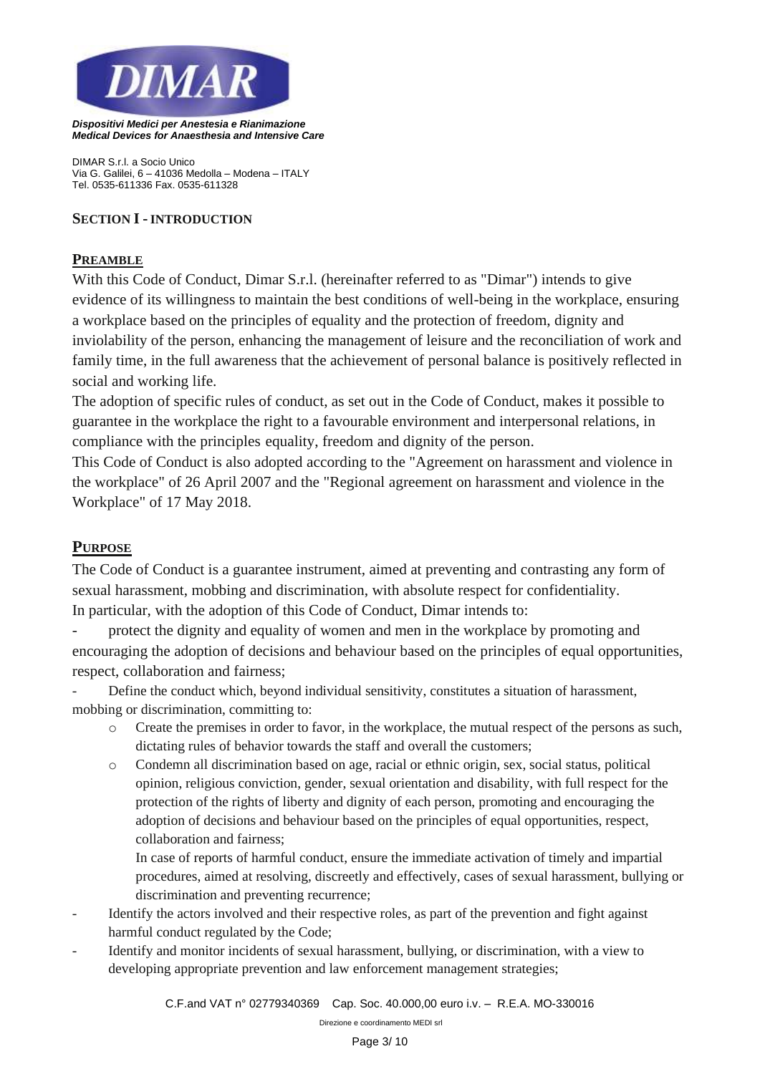

*DIMAR S.r.l. a Socio Unico Via G. Galilei, 6 – 41036 Medolla – Modena – ITALY Tel. 0535-611336 Fax. 0535-611328*

## **SECTION I - INTRODUCTION**

#### **PREAMBLE**

With this Code of Conduct, Dimar S.r.l. (hereinafter referred to as "Dimar") intends to give evidence of its willingness to maintain the best conditions of well-being in the workplace, ensuring a workplace based on the principles of equality and the protection of freedom, dignity and inviolability of the person, enhancing the management of leisure and the reconciliation of work and family time, in the full awareness that the achievement of personal balance is positively reflected in social and working life.

The adoption of specific rules of conduct, as set out in the Code of Conduct, makes it possible to guarantee in the workplace the right to a favourable environment and interpersonal relations, in compliance with the principles equality, freedom and dignity of the person.

This Code of Conduct is also adopted according to the "Agreement on harassment and violence in the workplace" of 26 April 2007 and the "Regional agreement on harassment and violence in the Workplace" of 17 May 2018.

# **PURPOSE**

The Code of Conduct is a guarantee instrument, aimed at preventing and contrasting any form of sexual harassment, mobbing and discrimination, with absolute respect for confidentiality. In particular, with the adoption of this Code of Conduct, Dimar intends to:

protect the dignity and equality of women and men in the workplace by promoting and encouraging the adoption of decisions and behaviour based on the principles of equal opportunities, respect, collaboration and fairness;

- Define the conduct which, beyond individual sensitivity, constitutes a situation of harassment, mobbing or discrimination, committing to:

- o Create the premises in order to favor, in the workplace, the mutual respect of the persons as such, dictating rules of behavior towards the staff and overall the customers;
- o Condemn all discrimination based on age, racial or ethnic origin, sex, social status, political opinion, religious conviction, gender, sexual orientation and disability, with full respect for the protection of the rights of liberty and dignity of each person, promoting and encouraging the adoption of decisions and behaviour based on the principles of equal opportunities, respect, collaboration and fairness;

In case of reports of harmful conduct, ensure the immediate activation of timely and impartial procedures, aimed at resolving, discreetly and effectively, cases of sexual harassment, bullying or discrimination and preventing recurrence;

- Identify the actors involved and their respective roles, as part of the prevention and fight against harmful conduct regulated by the Code;
- Identify and monitor incidents of sexual harassment, bullying, or discrimination, with a view to developing appropriate prevention and law enforcement management strategies;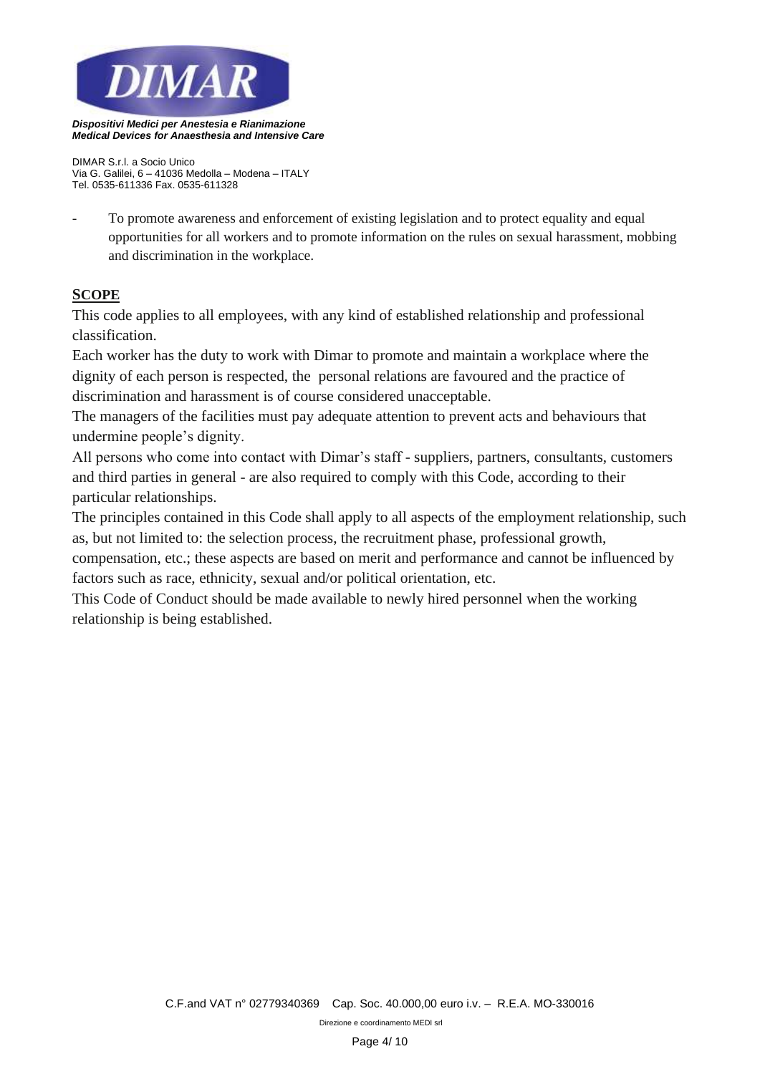

*DIMAR S.r.l. a Socio Unico Via G. Galilei, 6 – 41036 Medolla – Modena – ITALY Tel. 0535-611336 Fax. 0535-611328*

- To promote awareness and enforcement of existing legislation and to protect equality and equal opportunities for all workers and to promote information on the rules on sexual harassment, mobbing and discrimination in the workplace.

# **SCOPE**

This code applies to all employees, with any kind of established relationship and professional classification.

Each worker has the duty to work with Dimar to promote and maintain a workplace where the dignity of each person is respected, the personal relations are favoured and the practice of discrimination and harassment is of course considered unacceptable.

The managers of the facilities must pay adequate attention to prevent acts and behaviours that undermine people's dignity.

All persons who come into contact with Dimar's staff - suppliers, partners, consultants, customers and third parties in general - are also required to comply with this Code, according to their particular relationships.

The principles contained in this Code shall apply to all aspects of the employment relationship, such as, but not limited to: the selection process, the recruitment phase, professional growth,

compensation, etc.; these aspects are based on merit and performance and cannot be influenced by factors such as race, ethnicity, sexual and/or political orientation, etc.

This Code of Conduct should be made available to newly hired personnel when the working relationship is being established.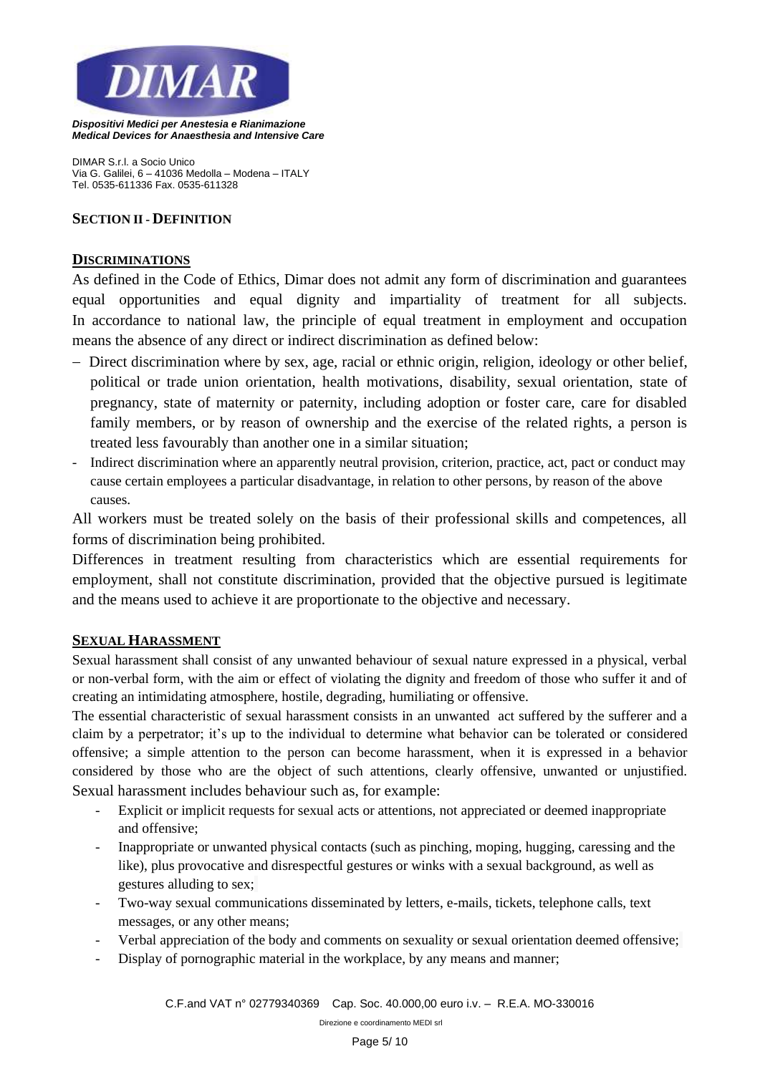

*DIMAR S.r.l. a Socio Unico Via G. Galilei, 6 – 41036 Medolla – Modena – ITALY Tel. 0535-611336 Fax. 0535-611328*

#### **SECTION II - DEFINITION**

#### **DISCRIMINATIONS**

As defined in the Code of Ethics, Dimar does not admit any form of discrimination and guarantees equal opportunities and equal dignity and impartiality of treatment for all subjects. In accordance to national law, the principle of equal treatment in employment and occupation means the absence of any direct or indirect discrimination as defined below:

- − Direct discrimination where by sex, age, racial or ethnic origin, religion, ideology or other belief, political or trade union orientation, health motivations, disability, sexual orientation, state of pregnancy, state of maternity or paternity, including adoption or foster care, care for disabled family members, or by reason of ownership and the exercise of the related rights, a person is treated less favourably than another one in a similar situation;
- Indirect discrimination where an apparently neutral provision, criterion, practice, act, pact or conduct may cause certain employees a particular disadvantage, in relation to other persons, by reason of the above causes.

All workers must be treated solely on the basis of their professional skills and competences, all forms of discrimination being prohibited.

Differences in treatment resulting from characteristics which are essential requirements for employment, shall not constitute discrimination, provided that the objective pursued is legitimate and the means used to achieve it are proportionate to the objective and necessary.

## **SEXUAL HARASSMENT**

Sexual harassment shall consist of any unwanted behaviour of sexual nature expressed in a physical, verbal or non-verbal form, with the aim or effect of violating the dignity and freedom of those who suffer it and of creating an intimidating atmosphere, hostile, degrading, humiliating or offensive.

The essential characteristic of sexual harassment consists in an unwanted act suffered by the sufferer and a claim by a perpetrator; it's up to the individual to determine what behavior can be tolerated or considered offensive; a simple attention to the person can become harassment, when it is expressed in a behavior considered by those who are the object of such attentions, clearly offensive, unwanted or unjustified. Sexual harassment includes behaviour such as, for example:

- Explicit or implicit requests for sexual acts or attentions, not appreciated or deemed inappropriate and offensive;
- Inappropriate or unwanted physical contacts (such as pinching, moping, hugging, caressing and the like), plus provocative and disrespectful gestures or winks with a sexual background, as well as gestures alluding to sex;
- Two-way sexual communications disseminated by letters, e-mails, tickets, telephone calls, text messages, or any other means;
- Verbal appreciation of the body and comments on sexuality or sexual orientation deemed offensive;
- Display of pornographic material in the workplace, by any means and manner;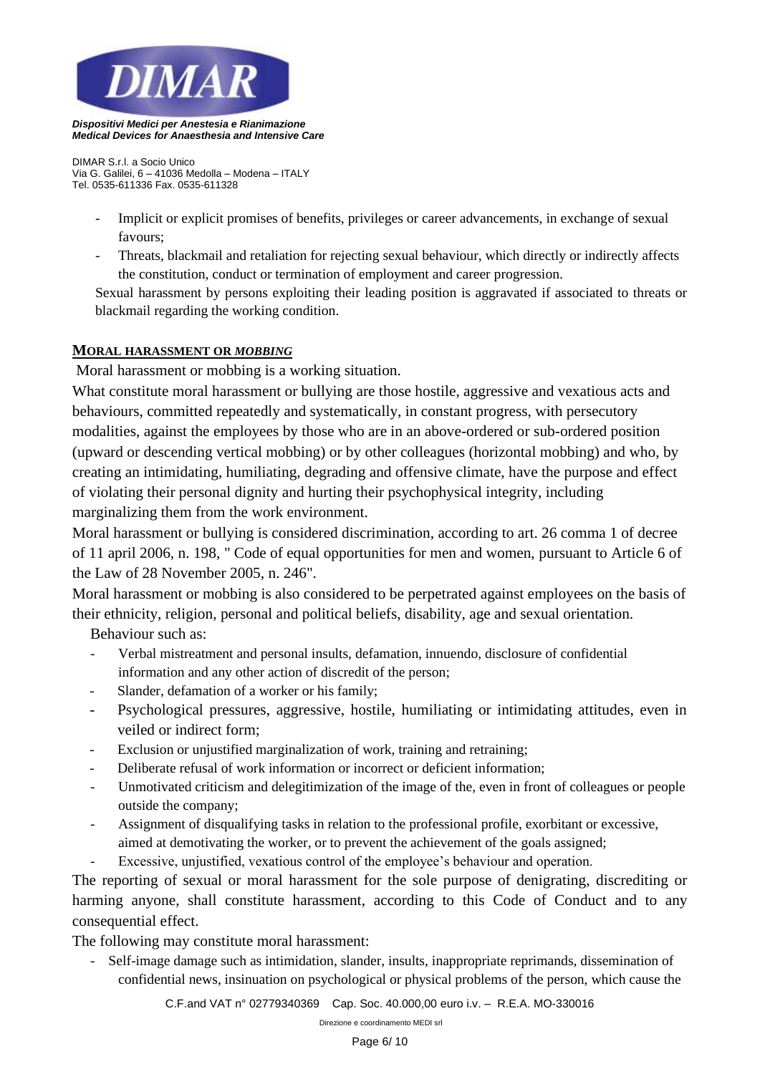

*DIMAR S.r.l. a Socio Unico Via G. Galilei, 6 – 41036 Medolla – Modena – ITALY Tel. 0535-611336 Fax. 0535-611328*

- Implicit or explicit promises of benefits, privileges or career advancements, in exchange of sexual favours;
- Threats, blackmail and retaliation for rejecting sexual behaviour, which directly or indirectly affects the constitution, conduct or termination of employment and career progression.

Sexual harassment by persons exploiting their leading position is aggravated if associated to threats or blackmail regarding the working condition.

## **MORAL HARASSMENT OR** *MOBBING*

Moral harassment or mobbing is a working situation.

What constitute moral harassment or bullying are those hostile, aggressive and vexatious acts and behaviours, committed repeatedly and systematically, in constant progress, with persecutory modalities, against the employees by those who are in an above-ordered or sub-ordered position (upward or descending vertical mobbing) or by other colleagues (horizontal mobbing) and who, by creating an intimidating, humiliating, degrading and offensive climate, have the purpose and effect of violating their personal dignity and hurting their psychophysical integrity, including marginalizing them from the work environment.

Moral harassment or bullying is considered discrimination, according to art. 26 comma 1 of decree of 11 april 2006, n. 198, " Code of equal opportunities for men and women, pursuant to Article 6 of the Law of 28 November 2005, n. 246".

Moral harassment or mobbing is also considered to be perpetrated against employees on the basis of their ethnicity, religion, personal and political beliefs, disability, age and sexual orientation.

Behaviour such as:

- Verbal mistreatment and personal insults, defamation, innuendo, disclosure of confidential information and any other action of discredit of the person;
- Slander, defamation of a worker or his family;
- Psychological pressures, aggressive, hostile, humiliating or intimidating attitudes, even in veiled or indirect form;
- Exclusion or unjustified marginalization of work, training and retraining;
- Deliberate refusal of work information or incorrect or deficient information;
- Unmotivated criticism and delegitimization of the image of the, even in front of colleagues or people outside the company;
- Assignment of disqualifying tasks in relation to the professional profile, exorbitant or excessive, aimed at demotivating the worker, or to prevent the achievement of the goals assigned;
- Excessive, unjustified, vexatious control of the employee's behaviour and operation.

The reporting of sexual or moral harassment for the sole purpose of denigrating, discrediting or harming anyone, shall constitute harassment, according to this Code of Conduct and to any consequential effect.

The following may constitute moral harassment:

- Self-image damage such as intimidation, slander, insults, inappropriate reprimands, dissemination of confidential news, insinuation on psychological or physical problems of the person, which cause the

*C.F.and VAT n° 02779340369 Cap. Soc. 40.000,00 euro i.v. – R.E.A. MO-330016*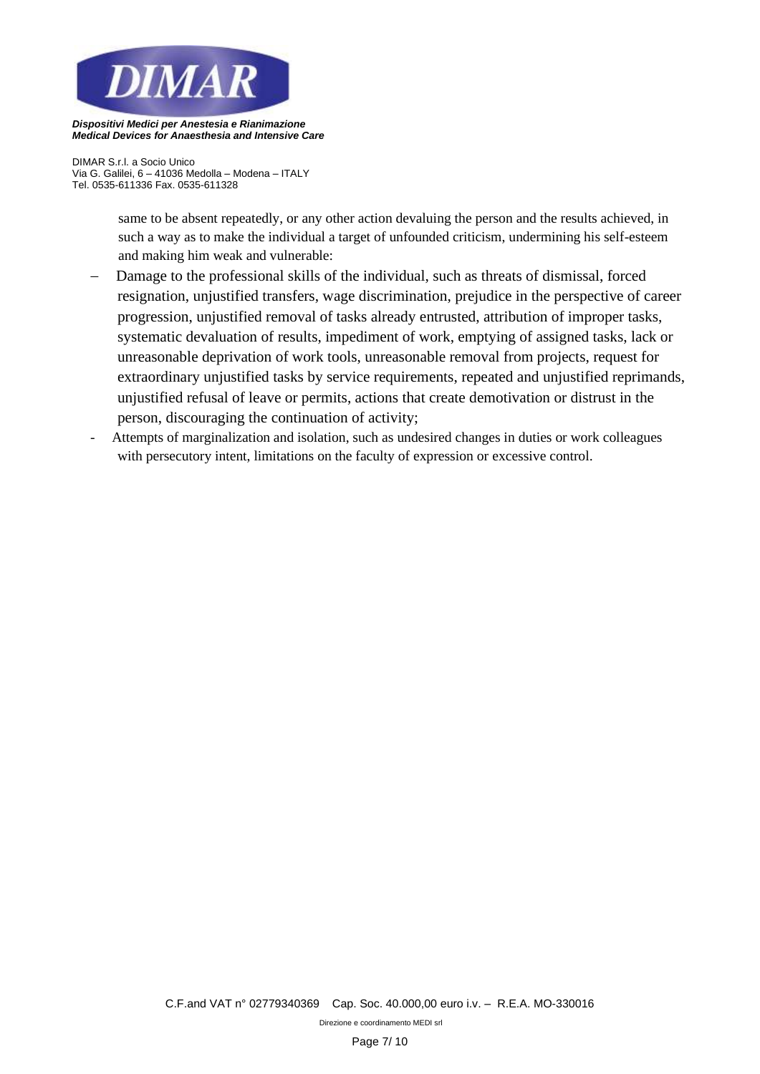

*DIMAR S.r.l. a Socio Unico Via G. Galilei, 6 – 41036 Medolla – Modena – ITALY Tel. 0535-611336 Fax. 0535-611328*

> same to be absent repeatedly, or any other action devaluing the person and the results achieved, in such a way as to make the individual a target of unfounded criticism, undermining his self-esteem and making him weak and vulnerable:

- Damage to the professional skills of the individual, such as threats of dismissal, forced resignation, unjustified transfers, wage discrimination, prejudice in the perspective of career progression, unjustified removal of tasks already entrusted, attribution of improper tasks, systematic devaluation of results, impediment of work, emptying of assigned tasks, lack or unreasonable deprivation of work tools, unreasonable removal from projects, request for extraordinary unjustified tasks by service requirements, repeated and unjustified reprimands, unjustified refusal of leave or permits, actions that create demotivation or distrust in the person, discouraging the continuation of activity;
- Attempts of marginalization and isolation, such as undesired changes in duties or work colleagues with persecutory intent, limitations on the faculty of expression or excessive control.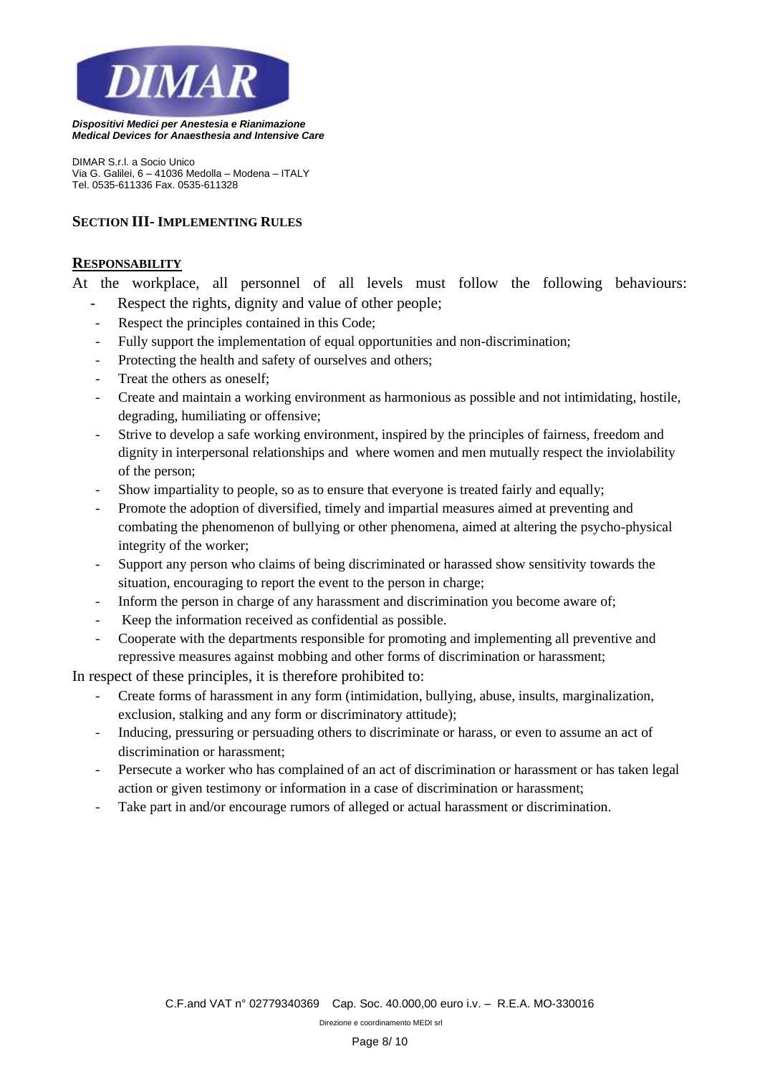

*DIMAR S.r.l. a Socio Unico Via G. Galilei, 6 – 41036 Medolla – Modena – ITALY Tel. 0535-611336 Fax. 0535-611328*

# **SECTION III- IMPLEMENTING RULES**

#### **RESPONSABILITY**

At the workplace, all personnel of all levels must follow the following behaviours: Respect the rights, dignity and value of other people:

- Respect the principles contained in this Code:
- Fully support the implementation of equal opportunities and non-discrimination;
- Protecting the health and safety of ourselves and others;
- Treat the others as oneself:
- Create and maintain a working environment as harmonious as possible and not intimidating, hostile, degrading, humiliating or offensive;
- Strive to develop a safe working environment, inspired by the principles of fairness, freedom and dignity in interpersonal relationships and where women and men mutually respect the inviolability of the person;
- Show impartiality to people, so as to ensure that everyone is treated fairly and equally;
- Promote the adoption of diversified, timely and impartial measures aimed at preventing and combating the phenomenon of bullying or other phenomena, aimed at altering the psycho-physical integrity of the worker;
- Support any person who claims of being discriminated or harassed show sensitivity towards the situation, encouraging to report the event to the person in charge;
- Inform the person in charge of any harassment and discrimination you become aware of;
- Keep the information received as confidential as possible.
- Cooperate with the departments responsible for promoting and implementing all preventive and repressive measures against mobbing and other forms of discrimination or harassment;

In respect of these principles, it is therefore prohibited to:

- Create forms of harassment in any form (intimidation, bullying, abuse, insults, marginalization, exclusion, stalking and any form or discriminatory attitude);
- Inducing, pressuring or persuading others to discriminate or harass, or even to assume an act of discrimination or harassment;
- Persecute a worker who has complained of an act of discrimination or harassment or has taken legal action or given testimony or information in a case of discrimination or harassment;
- Take part in and/or encourage rumors of alleged or actual harassment or discrimination.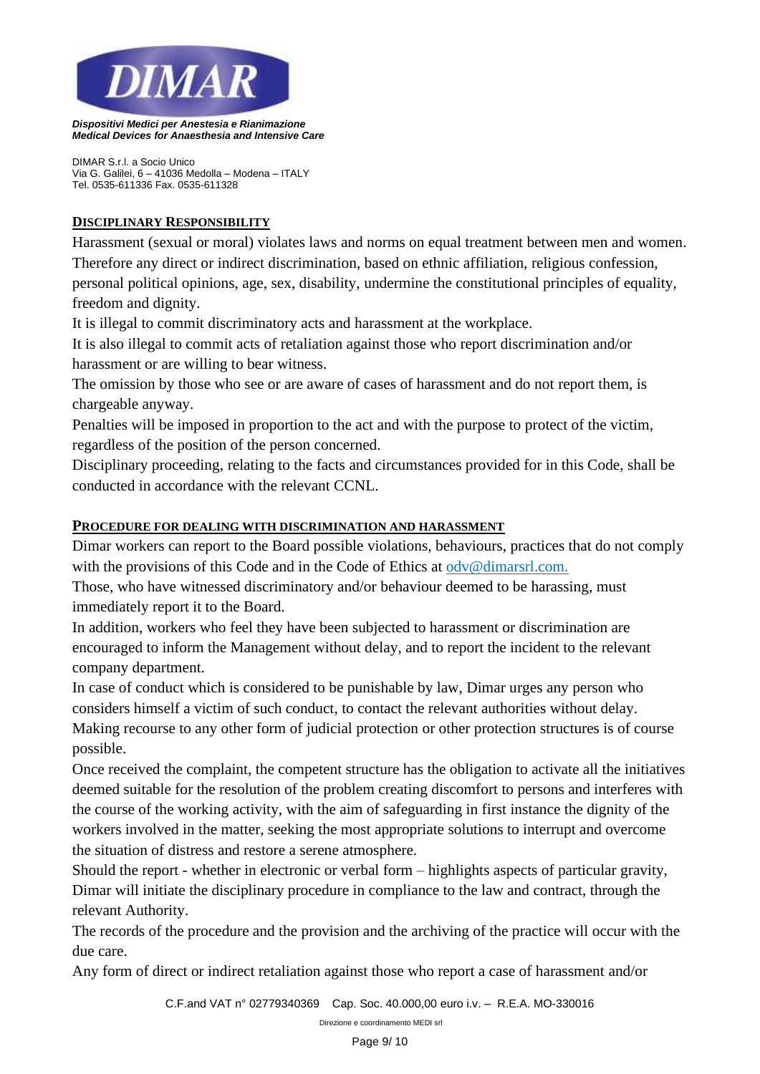

*DIMAR S.r.l. a Socio Unico Via G. Galilei, 6 – 41036 Medolla – Modena – ITALY Tel. 0535-611336 Fax. 0535-611328*

# **DISCIPLINARY RESPONSIBILITY**

Harassment (sexual or moral) violates laws and norms on equal treatment between men and women. Therefore any direct or indirect discrimination, based on ethnic affiliation, religious confession, personal political opinions, age, sex, disability, undermine the constitutional principles of equality, freedom and dignity.

It is illegal to commit discriminatory acts and harassment at the workplace.

It is also illegal to commit acts of retaliation against those who report discrimination and/or harassment or are willing to bear witness.

The omission by those who see or are aware of cases of harassment and do not report them, is chargeable anyway.

Penalties will be imposed in proportion to the act and with the purpose to protect of the victim, regardless of the position of the person concerned.

Disciplinary proceeding, relating to the facts and circumstances provided for in this Code, shall be conducted in accordance with the relevant CCNL.

# **PROCEDURE FOR DEALING WITH DISCRIMINATION AND HARASSMENT**

Dimar workers can report to the Board possible violations, behaviours, practices that do not comply with the provisions of this Code and in the Code of Ethics at odv@dimarsrl.com.

Those, who have witnessed discriminatory and/or behaviour deemed to be harassing, must immediately report it to the Board.

In addition, workers who feel they have been subjected to harassment or discrimination are encouraged to inform the Management without delay, and to report the incident to the relevant company department.

In case of conduct which is considered to be punishable by law, Dimar urges any person who considers himself a victim of such conduct, to contact the relevant authorities without delay. Making recourse to any other form of judicial protection or other protection structures is of course possible.

Once received the complaint, the competent structure has the obligation to activate all the initiatives deemed suitable for the resolution of the problem creating discomfort to persons and interferes with the course of the working activity, with the aim of safeguarding in first instance the dignity of the workers involved in the matter, seeking the most appropriate solutions to interrupt and overcome the situation of distress and restore a serene atmosphere.

Should the report - whether in electronic or verbal form – highlights aspects of particular gravity, Dimar will initiate the disciplinary procedure in compliance to the law and contract, through the relevant Authority.

The records of the procedure and the provision and the archiving of the practice will occur with the due care.

Any form of direct or indirect retaliation against those who report a case of harassment and/or

*C.F.and VAT n° 02779340369 Cap. Soc. 40.000,00 euro i.v. – R.E.A. MO-330016*